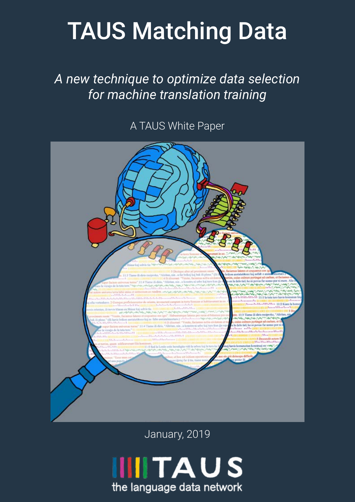# TAUS Matching Data

*A new technique to optimize data selection for machine translation training*

A TAUS White Paper



January, 2019

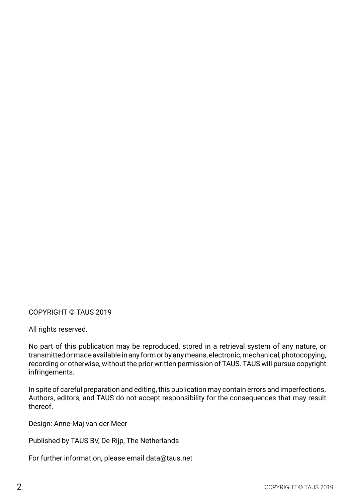COPYRIGHT © TAUS 2019

All rights reserved.

No part of this publication may be reproduced, stored in a retrieval system of any nature, or transmitted or made available in any form or by any means, electronic, mechanical, photocopying, recording or otherwise, without the prior written permission of TAUS. TAUS will pursue copyright infringements.

In spite of careful preparation and editing, this publication may contain errors and imperfections. Authors, editors, and TAUS do not accept responsibility for the consequences that may result thereof.

Design: Anne-Maj van der Meer

Published by TAUS BV, De Rijp, The Netherlands

For further information, please email data@taus.net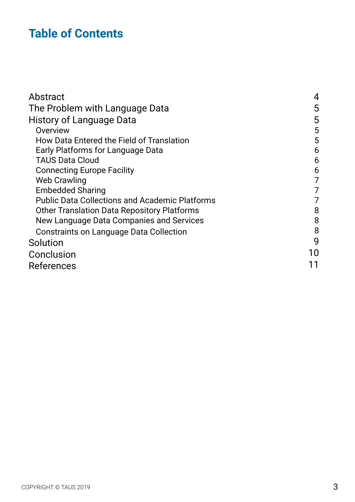# **Table of Contents**

| Abstract                                              | 4  |
|-------------------------------------------------------|----|
| The Problem with Language Data                        | 5  |
| <b>History of Language Data</b>                       | 5  |
| Overview                                              | 5  |
| <b>How Data Entered the Field of Translation</b>      | 5  |
| Early Platforms for Language Data                     | 6  |
| <b>TAUS Data Cloud</b>                                | 6  |
| <b>Connecting Europe Facility</b>                     | 6  |
| <b>Web Crawling</b>                                   | 7  |
| <b>Embedded Sharing</b>                               | 7  |
| <b>Public Data Collections and Academic Platforms</b> | 7  |
| <b>Other Translation Data Repository Platforms</b>    | 8  |
| New Language Data Companies and Services              | 8  |
| Constraints on Language Data Collection               | 8  |
| Solution                                              | 9  |
| Conclusion                                            | 10 |
| <b>References</b>                                     |    |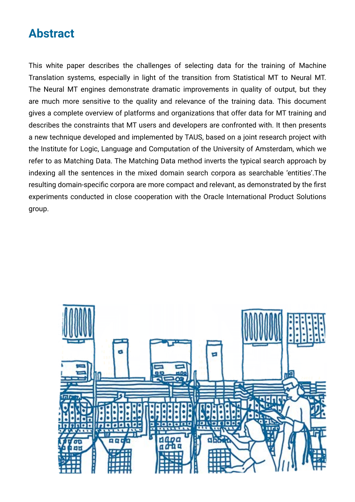## <span id="page-3-0"></span>**Abstract**

This white paper describes the challenges of selecting data for the training of Machine Translation systems, especially in light of the transition from Statistical MT to Neural MT. The Neural MT engines demonstrate dramatic improvements in quality of output, but they are much more sensitive to the quality and relevance of the training data. This document gives a complete overview of platforms and organizations that offer data for MT training and describes the constraints that MT users and developers are confronted with. It then presents a new technique developed and implemented by TAUS, based on a joint research project with the Institute for Logic, Language and Computation of the University of Amsterdam, which we refer to as Matching Data. The Matching Data method inverts the typical search approach by indexing all the sentences in the mixed domain search corpora as searchable 'entities'.The resulting domain-specific corpora are more compact and relevant, as demonstrated by the first experiments conducted in close cooperation with the Oracle International Product Solutions group.

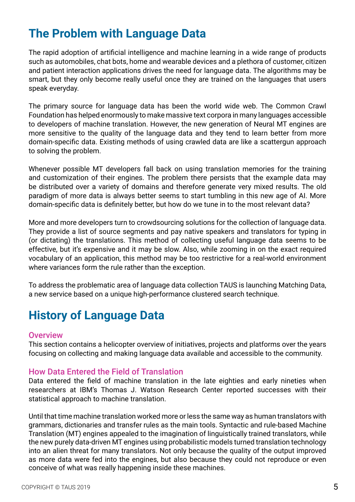# <span id="page-4-0"></span>**The Problem with Language Data**

The rapid adoption of artificial intelligence and machine learning in a wide range of products such as automobiles, chat bots, home and wearable devices and a plethora of customer, citizen and patient interaction applications drives the need for language data. The algorithms may be smart, but they only become really useful once they are trained on the languages that users speak everyday.

The primary source for language data has been the world wide web. The Common Crawl Foundation has helped enormously to make massive text corpora in many languages accessible to developers of machine translation. However, the new generation of Neural MT engines are more sensitive to the quality of the language data and they tend to learn better from more domain-specific data. Existing methods of using crawled data are like a scattergun approach to solving the problem.

Whenever possible MT developers fall back on using translation memories for the training and customization of their engines. The problem there persists that the example data may be distributed over a variety of domains and therefore generate very mixed results. The old paradigm of more data is always better seems to start tumbling in this new age of AI. More domain-specific data is definitely better, but how do we tune in to the most relevant data?

More and more developers turn to crowdsourcing solutions for the collection of language data. They provide a list of source segments and pay native speakers and translators for typing in (or dictating) the translations. This method of collecting useful language data seems to be effective, but it's expensive and it may be slow. Also, while zooming in on the exact required vocabulary of an application, this method may be too restrictive for a real-world environment where variances form the rule rather than the exception.

To address the problematic area of language data collection TAUS is launching Matching Data, a new service based on a unique high-performance clustered search technique.

## **History of Language Data**

#### **Overview**

This section contains a helicopter overview of initiatives, projects and platforms over the years focusing on collecting and making language data available and accessible to the community.

#### How Data Entered the Field of Translation

Data entered the field of machine translation in the late eighties and early nineties when researchers at IBM's Thomas J. Watson Research Center reported successes with their statistical approach to machine translation.

Until that time machine translation worked more or less the same way as human translators with grammars, dictionaries and transfer rules as the main tools. Syntactic and rule-based Machine Translation (MT) engines appealed to the imagination of linguistically trained translators, while the new purely data-driven MT engines using probabilistic models turned translation technology into an alien threat for many translators. Not only because the quality of the output improved as more data were fed into the engines, but also because they could not reproduce or even conceive of what was really happening inside these machines.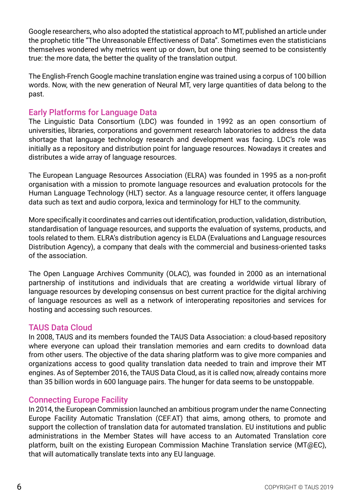<span id="page-5-0"></span>Google researchers, who also adopted the statistical approach to MT, published an article under the prophetic title "The Unreasonable Effectiveness of Data". Sometimes even the statisticians themselves wondered why metrics went up or down, but one thing seemed to be consistently true: the more data, the better the quality of the translation output.

The English-French Google machine translation engine was trained using a corpus of 100 billion words. Now, with the new generation of Neural MT, very large quantities of data belong to the past.

#### Early Platforms for Language Data

The Linguistic Data Consortium (LDC) was founded in 1992 as an open consortium of universities, libraries, corporations and government research laboratories to address the data shortage that language technology research and development was facing. LDC's role was initially as a repository and distribution point for language resources. Nowadays it creates and distributes a wide array of language resources.

The European Language Resources Association (ELRA) was founded in 1995 as a non-profit organisation with a mission to promote language resources and evaluation protocols for the Human Language Technology (HLT) sector. As a language resource center, it offers language data such as text and audio corpora, lexica and terminology for HLT to the community.

More specifically it coordinates and carries out identification, production, validation, distribution, standardisation of language resources, and supports the evaluation of systems, products, and tools related to them. ELRA's distribution agency is ELDA (Evaluations and Language resources Distribution Agency), a company that deals with the commercial and business-oriented tasks of the association.

The Open Language Archives Community (OLAC), was founded in 2000 as an international partnership of institutions and individuals that are creating a worldwide virtual library of language resources by developing consensus on best current practice for the digital archiving of language resources as well as a network of interoperating repositories and services for hosting and accessing such resources.

#### TAUS Data Cloud

In 2008, TAUS and its members founded the TAUS Data Association: a cloud-based repository where everyone can upload their translation memories and earn credits to download data from other users. The objective of the data sharing platform was to give more companies and organizations access to good quality translation data needed to train and improve their MT engines. As of September 2016, the TAUS Data Cloud, as it is called now, already contains more than 35 billion words in 600 language pairs. The hunger for data seems to be unstoppable.

#### Connecting Europe Facility

In 2014, the European Commission launched an ambitious program under the name Connecting Europe Facility Automatic Translation (CEF.AT) that aims, among others, to promote and support the collection of translation data for automated translation. EU institutions and public administrations in the Member States will have access to an Automated Translation core platform, built on the existing European Commission Machine Translation service (MT@EC), that will automatically translate texts into any EU language.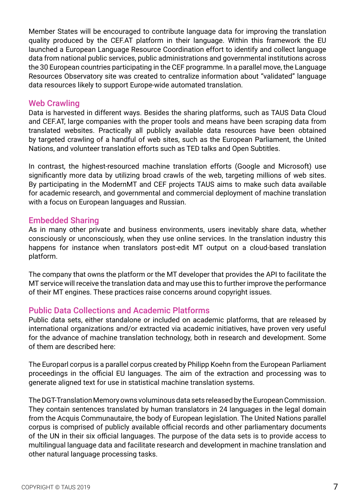<span id="page-6-0"></span>Member States will be encouraged to contribute language data for improving the translation quality produced by the CEF.AT platform in their language. Within this framework the EU launched a European Language Resource Coordination effort to identify and collect language data from national public services, public administrations and governmental institutions across the 30 European countries participating in the CEF programme. In a parallel move, the Language Resources Observatory site was created to centralize information about "validated" language data resources likely to support Europe-wide automated translation.

#### Web Crawling

Data is harvested in different ways. Besides the sharing platforms, such as TAUS Data Cloud and CEF.AT, large companies with the proper tools and means have been scraping data from translated websites. Practically all publicly available data resources have been obtained by targeted crawling of a handful of web sites, such as the European Parliament, the United Nations, and volunteer translation efforts such as TED talks and Open Subtitles.

In contrast, the highest-resourced machine translation efforts (Google and Microsoft) use significantly more data by utilizing broad crawls of the web, targeting millions of web sites. By participating in the ModernMT and CEF projects TAUS aims to make such data available for academic research, and governmental and commercial deployment of machine translation with a focus on European languages and Russian.

#### Embedded Sharing

As in many other private and business environments, users inevitably share data, whether consciously or unconsciously, when they use online services. In the translation industry this happens for instance when translators post-edit MT output on a cloud-based translation platform.

The company that owns the platform or the MT developer that provides the API to facilitate the MT service will receive the translation data and may use this to further improve the performance of their MT engines. These practices raise concerns around copyright issues.

#### Public Data Collections and Academic Platforms

Public data sets, either standalone or included on academic platforms, that are released by international organizations and/or extracted via academic initiatives, have proven very useful for the advance of machine translation technology, both in research and development. Some of them are described here:

The Europarl corpus is a parallel corpus created by Philipp Koehn from the European Parliament proceedings in the official EU languages. The aim of the extraction and processing was to generate aligned text for use in statistical machine translation systems.

The DGT-Translation Memory owns voluminous data sets released by the European Commission. They contain sentences translated by human translators in 24 languages in the legal domain from the Acquis Communautaire, the body of European legislation. The United Nations parallel corpus is comprised of publicly available official records and other parliamentary documents of the UN in their six official languages. The purpose of the data sets is to provide access to multilingual language data and facilitate research and development in machine translation and other natural language processing tasks.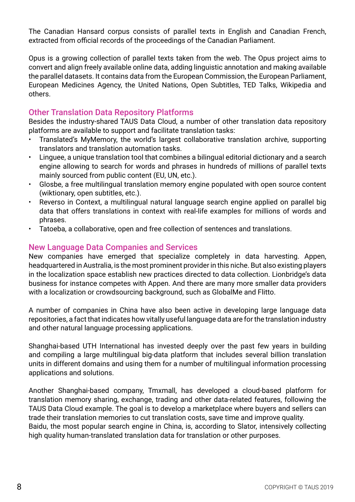<span id="page-7-0"></span>The Canadian Hansard corpus consists of parallel texts in English and Canadian French, extracted from official records of the proceedings of the Canadian Parliament.

Opus is a growing collection of parallel texts taken from the web. The Opus project aims to convert and align freely available online data, adding linguistic annotation and making available the parallel datasets. It contains data from the European Commission, the European Parliament, European Medicines Agency, the United Nations, Open Subtitles, TED Talks, Wikipedia and others.

#### Other Translation Data Repository Platforms

Besides the industry-shared TAUS Data Cloud, a number of other translation data repository platforms are available to support and facilitate translation tasks:

- Translated's MyMemory, the world's largest collaborative translation archive, supporting translators and translation automation tasks.
- Linguee, a unique translation tool that combines a bilingual editorial dictionary and a search engine allowing to search for words and phrases in hundreds of millions of parallel texts mainly sourced from public content (EU, UN, etc.).
- Glosbe, a free multilingual translation memory engine populated with open source content (wiktionary, open subtitles, etc.).
- Reverso in Context, a multilingual natural language search engine applied on parallel big data that offers translations in context with real-life examples for millions of words and phrases.
- Tatoeba, a collaborative, open and free collection of sentences and translations.

#### New Language Data Companies and Services

New companies have emerged that specialize completely in data harvesting. Appen, headquartered in Australia, is the most prominent provider in this niche. But also existing players in the localization space establish new practices directed to data collection. Lionbridge's data business for instance competes with Appen. And there are many more smaller data providers with a localization or crowdsourcing background, such as GlobalMe and Flitto.

A number of companies in China have also been active in developing large language data repositories, a fact that indicates how vitally useful language data are for the translation industry and other natural language processing applications.

Shanghai-based UTH International has invested deeply over the past few years in building and compiling a large multilingual big-data platform that includes several billion translation units in different domains and using them for a number of multilingual information processing applications and solutions.

Another Shanghai-based company, Tmxmall, has developed a cloud-based platform for translation memory sharing, exchange, trading and other data-related features, following the TAUS Data Cloud example. The goal is to develop a marketplace where buyers and sellers can trade their translation memories to cut translation costs, save time and improve quality. Baidu, the most popular search engine in China, is, according to Slator, intensively collecting high quality human-translated translation data for translation or other purposes.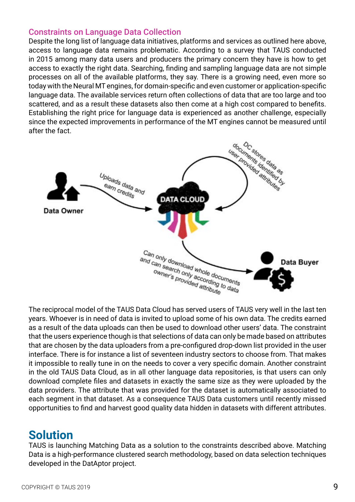#### <span id="page-8-0"></span>Constraints on Language Data Collection

Despite the long list of language data initiatives, platforms and services as outlined here above, access to language data remains problematic. According to a survey that TAUS conducted in 2015 among many data users and producers the primary concern they have is how to get access to exactly the right data. Searching, finding and sampling language data are not simple processes on all of the available platforms, they say. There is a growing need, even more so today with the Neural MT engines, for domain-specific and even customer or application-specific language data. The available services return often collections of data that are too large and too scattered, and as a result these datasets also then come at a high cost compared to benefits. Establishing the right price for language data is experienced as another challenge, especially since the expected improvements in performance of the MT engines cannot be measured until after the fact.



The reciprocal model of the TAUS Data Cloud has served users of TAUS very well in the last ten years. Whoever is in need of data is invited to upload some of his own data. The credits earned as a result of the data uploads can then be used to download other users' data. The constraint that the users experience though is that selections of data can only be made based on attributes that are chosen by the data uploaders from a pre-configured drop-down list provided in the user interface. There is for instance a list of seventeen industry sectors to choose from. That makes it impossible to really tune in on the needs to cover a very specific domain. Another constraint in the old TAUS Data Cloud, as in all other language data repositories, is that users can only download complete files and datasets in exactly the same size as they were uploaded by the data providers. The attribute that was provided for the dataset is automatically associated to each segment in that dataset. As a consequence TAUS Data customers until recently missed opportunities to find and harvest good quality data hidden in datasets with different attributes.

### **Solution**

TAUS is launching Matching Data as a solution to the constraints described above. Matching Data is a high-performance clustered search methodology, based on data selection techniques developed in the [DatAptor project.](https://slpl.science.uva.nl/projects/dataptor/overview)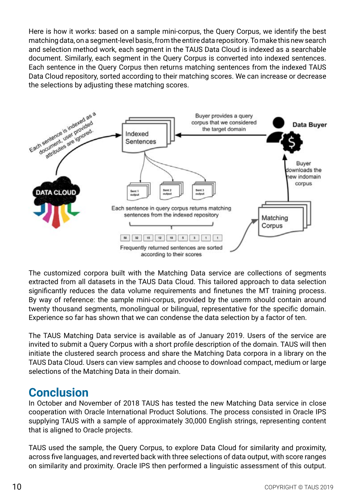<span id="page-9-0"></span>Here is how it works: based on a sample mini-corpus, the Query Corpus, we identify the best matching data, on a segment-level basis, from the entire data repository. To make this new search and selection method work, each segment in the TAUS Data Cloud is indexed as a searchable document. Similarly, each segment in the Query Corpus is converted into indexed sentences. Each sentence in the Query Corpus then returns matching sentences from the indexed TAUS Data Cloud repository, sorted according to their matching scores. We can increase or decrease the selections by adjusting these matching scores.



The customized corpora built with the Matching Data service are collections of segments extracted from all datasets in the TAUS Data Cloud. This tailored approach to data selection significantly reduces the data volume requirements and finetunes the MT training process. By way of reference: the sample mini-corpus, provided by the userm should contain around twenty thousand segments, monolingual or bilingual, representative for the specific domain. Experience so far has shown that we can condense the data selection by a factor of ten.

The TAUS Matching Data service is available as of January 2019. Users of the service are invited to submit a Query Corpus with a short profile description of the domain. TAUS will then initiate the clustered search process and share the Matching Data corpora in a library on the TAUS Data Cloud. Users can view samples and choose to download compact, medium or large selections of the Matching Data in their domain.

## **Conclusion**

In October and November of 2018 TAUS has tested the new Matching Data service in close cooperation with Oracle International Product Solutions. The process consisted in Oracle IPS supplying TAUS with a sample of approximately 30,000 English strings, representing content that is aligned to Oracle projects.

TAUS used the sample, the Query Corpus, to explore Data Cloud for similarity and proximity, across five languages, and reverted back with three selections of data output, with score ranges on similarity and proximity. Oracle IPS then performed a linguistic assessment of this output.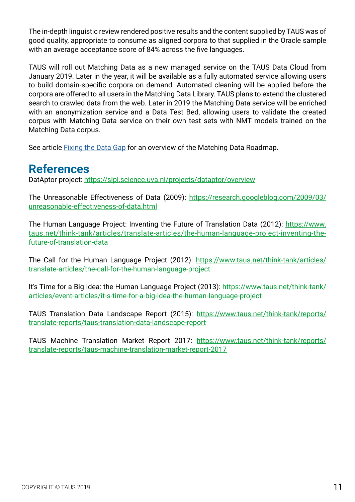<span id="page-10-0"></span>The in-depth linguistic review rendered positive results and the content supplied by TAUS was of good quality, appropriate to consume as aligned corpora to that supplied in the Oracle sample with an average acceptance score of 84% across the five languages.

TAUS will roll out Matching Data as a new managed service on the TAUS Data Cloud from January 2019. Later in the year, it will be available as a fully automated service allowing users to build domain-specific corpora on demand. Automated cleaning will be applied before the corpora are offered to all users in the Matching Data Library. TAUS plans to extend the clustered search to crawled data from the web. Later in 2019 the Matching Data service will be enriched with an anonymization service and a Data Test Bed, allowing users to validate the created corpus with Matching Data service on their own test sets with NMT models trained on the Matching Data corpus.

See article [Fixing the Data Gap](http://blog.taus.net/ten-years-of-taus-data-cloud-taught-us-how-to-fix-the-data-gap) for an overview of the Matching Data Roadmap.

## **References**

DatAptor project:<https://slpl.science.uva.nl/projects/dataptor/overview>

The Unreasonable Effectiveness of Data (2009): [https://research.googleblog.com/2009/03/](https://research.googleblog.com/2009/03/unreasonable-effectiveness-of-data.html) [unreasonable-effectiveness-of-data.html](https://research.googleblog.com/2009/03/unreasonable-effectiveness-of-data.html)

The Human Language Project: Inventing the Future of Translation Data (2012): [https://www.](https://www.taus.net/think-tank/articles/translate-articles/the-human-language-project-inventing-the-future-of-translation-data) [taus.net/think-tank/articles/translate-articles/the-human-language-project-inventing-the](https://www.taus.net/think-tank/articles/translate-articles/the-human-language-project-inventing-the-future-of-translation-data)[future-of-translation-data](https://www.taus.net/think-tank/articles/translate-articles/the-human-language-project-inventing-the-future-of-translation-data)

The Call for the Human Language Project (2012): [https://www.taus.net/think-tank/articles/](https://www.taus.net/think-tank/articles/translate-articles/the-call-for-the-human-language-project) [translate-articles/the-call-for-the-human-language-project](https://www.taus.net/think-tank/articles/translate-articles/the-call-for-the-human-language-project)

It's Time for a Big Idea: the Human Language Project (2013): [https://www.taus.net/think-tank/](https://www.taus.net/think-tank/articles/event-articles/it-s-time-for-a-big-idea-the-human-language-project) [articles/event-articles/it-s-time-for-a-big-idea-the-human-language-project](https://www.taus.net/think-tank/articles/event-articles/it-s-time-for-a-big-idea-the-human-language-project)

TAUS Translation Data Landscape Report (2015): [https://www.taus.net/think-tank/reports/](https://www.taus.net/think-tank/reports/translate-reports/taus-translation-data-landscape-report) [translate-reports/taus-translation-data-landscape-report](https://www.taus.net/think-tank/reports/translate-reports/taus-translation-data-landscape-report)

TAUS Machine Translation Market Report 2017: [https://www.taus.net/think-tank/reports/](https://www.taus.net/think-tank/reports/translate-reports/taus-machine-translation-market-report-2017) [translate-reports/taus-machine-translation-market-report-2017](https://www.taus.net/think-tank/reports/translate-reports/taus-machine-translation-market-report-2017)